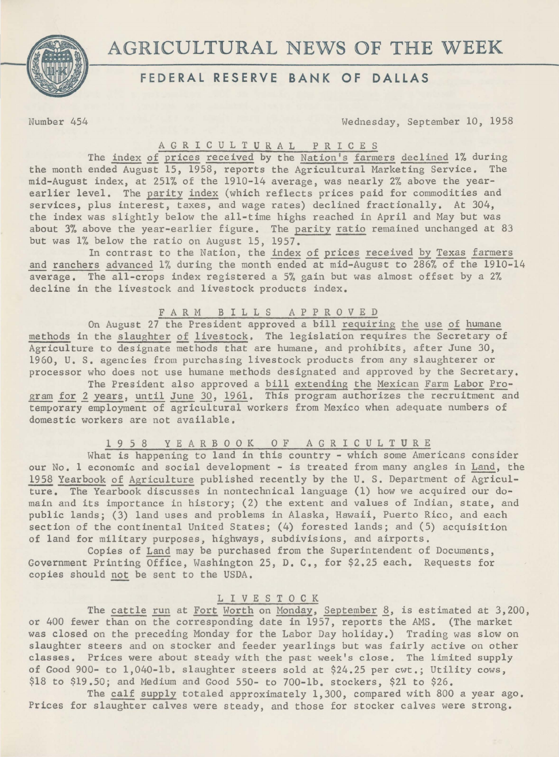

# AGRICULTURAL NEWS OF THE WEEK

# **FEDERAL RESERVE- BANK OF DALLAS**

ifomber 454 Wednesday, September 10, 1958

#### A G R I C U L T U R A L P R I C E S

The index of prices received by the Nation's farmers declined 1% during the month ended August 15, 1958, reports the Agricultural Marketing Service. The mid-August index, at 251% of the 1910-14 average, was nearly 2% above the yearearlier level. The parity index (which reflects prices paid for commodities and services, plus interest, taxes, and wage rates) declined fractionally. At 304, the index was slightly below the all-time highs reached in April and May but was about 3% above the year-earlier figure. The parity ratio remained unchanged at 83 but was 1% below the ratio on August 15, 1957.

In contrast to the Nation, the index of prices received by Texas farmers and ranchers advanced 1% during the month ended at mid-August to 286% of the 1910-14 average. The all-crops index registered a 5% gain but was almost offset by a 2% decline in the livestock and livestock products index.

## FARM B I L L S A P P R 0 V E D

On August 27 the President approved a bill requiring the use of humane methods in the slaughter of livestock, The legislation requires the Secretary of Agriculture to designate methods that are humane, and prohibits, after June 30, 1960, U. s. agencies from purchasing livestock products from any slaughterer or processor who does not use humane methods designated and approved by the Secretary.

The President also approved a bill extending the Mexican Farm Labor Program for 2 years, until June 30, 1961. This program authorizes the recruitment and temporary employment of agricultural workers from Mexico when adequate numbers of domestic workers are not available.

## 1 9 5 8 Y E A R B 0 0 K 0 F A G R I C U L T U R E

What is happening to land in this country - which some Americans consider our No. 1 economic and social development - is treated from many angles in Land, the 1958 Yearbook of Agriculture published recently by the U. S. Department of Agricul ture. The Yearbook discusses in nontechnical language (1) how we acquired our domain and its importance in history; (2) the extent and values of Indian, state, and public lands; (3) land uses and problems in Alaska, Hawaii, Puerto Rico, and each section of the continental United States; (4) forested lands; and (5) acquisition of land for military purposes, highways, subdivisions, and airports.

Copies of Land may be purchased from the Superintendent of Documents, Government Printing Office, Washington 25, D. c., for \$2.25 each. Requests for copies should not be sent to the USDA.

#### L I V E S T 0 C K

The cattle run at Fort Worth on Monday, September 8, is estimated at 3,200, or 400 fewer than on the corresponding date in 1957, reports the AMS. (The market was closed on the preceding Monday for the Labor Day holiday.) Trading was slow on slaughter steers and on stocker and feeder yearlings but was fairly active on other classes. Prices were about steady with the past week's close. The limited supply of Good 900- to 1,040-lb. slaughter steers sold at \$24.25 per cwt.; Utility cows, \$18 to \$19.50; and Medium and Good 550- to 700-lb. stockers, \$21 to \$26.

The calf supply totaled approximately 1,300, compared with 800 a year ago, Prices for slaughter calves were steady, and those for stocker calves were strong.